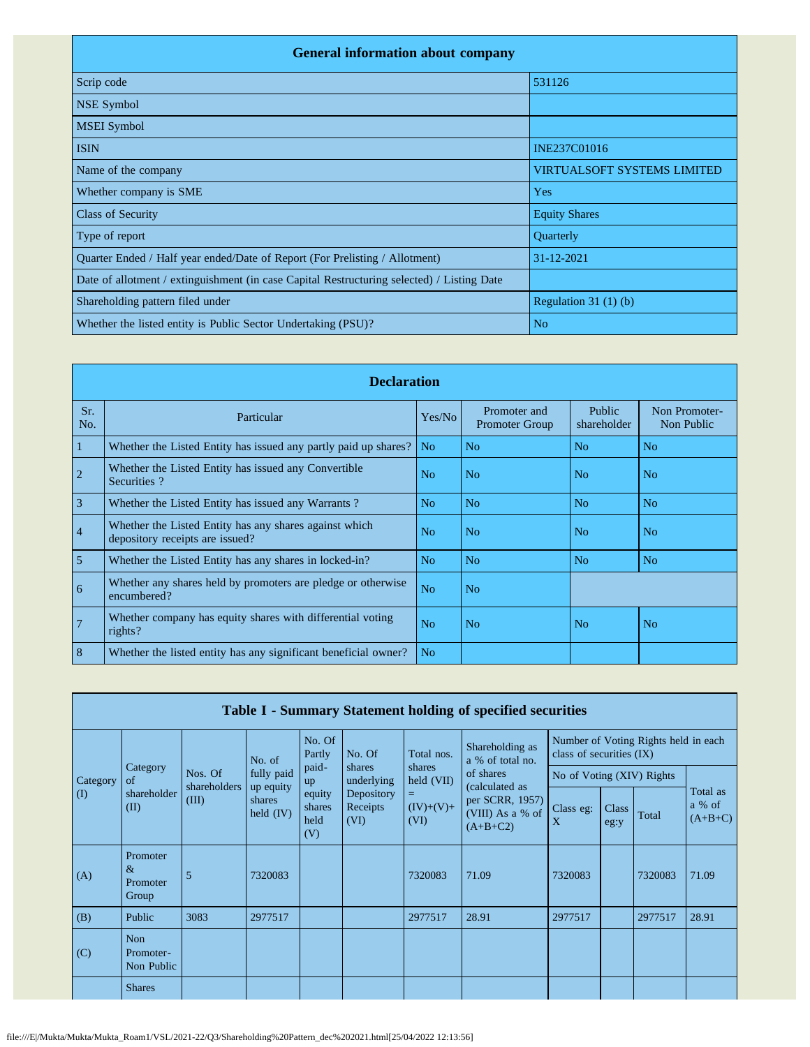| <b>General information about company</b>                                                   |                                    |  |  |  |  |  |  |  |
|--------------------------------------------------------------------------------------------|------------------------------------|--|--|--|--|--|--|--|
| Scrip code                                                                                 | 531126                             |  |  |  |  |  |  |  |
| <b>NSE Symbol</b>                                                                          |                                    |  |  |  |  |  |  |  |
| <b>MSEI</b> Symbol                                                                         |                                    |  |  |  |  |  |  |  |
| <b>ISIN</b>                                                                                | INE237C01016                       |  |  |  |  |  |  |  |
| Name of the company                                                                        | <b>VIRTUALSOFT SYSTEMS LIMITED</b> |  |  |  |  |  |  |  |
| Whether company is SME                                                                     | Yes                                |  |  |  |  |  |  |  |
| <b>Class of Security</b>                                                                   | <b>Equity Shares</b>               |  |  |  |  |  |  |  |
| Type of report                                                                             | Quarterly                          |  |  |  |  |  |  |  |
| Quarter Ended / Half year ended/Date of Report (For Prelisting / Allotment)                | 31-12-2021                         |  |  |  |  |  |  |  |
| Date of allotment / extinguishment (in case Capital Restructuring selected) / Listing Date |                                    |  |  |  |  |  |  |  |
| Shareholding pattern filed under                                                           | Regulation $31(1)(b)$              |  |  |  |  |  |  |  |
| Whether the listed entity is Public Sector Undertaking (PSU)?                              | N <sub>o</sub>                     |  |  |  |  |  |  |  |

|                | <b>Declaration</b>                                                                        |                |                                       |                       |                             |  |  |  |  |  |  |
|----------------|-------------------------------------------------------------------------------------------|----------------|---------------------------------------|-----------------------|-----------------------------|--|--|--|--|--|--|
| Sr.<br>No.     | Particular                                                                                | Yes/No         | Promoter and<br><b>Promoter Group</b> | Public<br>shareholder | Non Promoter-<br>Non Public |  |  |  |  |  |  |
| 1              | Whether the Listed Entity has issued any partly paid up shares?                           | No.            | No                                    | N <sub>o</sub>        | N <sub>o</sub>              |  |  |  |  |  |  |
| $\overline{2}$ | Whether the Listed Entity has issued any Convertible<br>Securities?                       | N <sub>0</sub> | No                                    | N <sub>o</sub>        | N <sub>o</sub>              |  |  |  |  |  |  |
| $\overline{3}$ | Whether the Listed Entity has issued any Warrants?                                        | N <sub>o</sub> | N <sub>o</sub>                        | N <sub>o</sub>        | N <sub>o</sub>              |  |  |  |  |  |  |
| $\overline{4}$ | Whether the Listed Entity has any shares against which<br>depository receipts are issued? | N <sub>0</sub> | No                                    | N <sub>0</sub>        | No                          |  |  |  |  |  |  |
| 5              | Whether the Listed Entity has any shares in locked-in?                                    | N <sub>o</sub> | N <sub>o</sub>                        | N <sub>o</sub>        | N <sub>o</sub>              |  |  |  |  |  |  |
| 6              | Whether any shares held by promoters are pledge or otherwise<br>encumbered?               | N <sub>o</sub> | N <sub>o</sub>                        |                       |                             |  |  |  |  |  |  |
| $\overline{7}$ | Whether company has equity shares with differential voting<br>$rights$ ?                  | No             | No                                    | N <sub>o</sub>        | No                          |  |  |  |  |  |  |
| 8              | Whether the listed entity has any significant beneficial owner?                           | N <sub>o</sub> |                                       |                       |                             |  |  |  |  |  |  |

|          | Table I - Summary Statement holding of specified securities |                       |                                    |                                                |                                                        |                                                             |                                                                     |                                                                                                 |       |                                      |       |
|----------|-------------------------------------------------------------|-----------------------|------------------------------------|------------------------------------------------|--------------------------------------------------------|-------------------------------------------------------------|---------------------------------------------------------------------|-------------------------------------------------------------------------------------------------|-------|--------------------------------------|-------|
|          |                                                             |                       | No. of                             | No. Of<br>Partly                               | No. Of                                                 | Shareholding as<br>Total nos.<br>a % of total no.           |                                                                     | class of securities (IX)                                                                        |       | Number of Voting Rights held in each |       |
| Category | Category<br>of                                              | Nos. Of               | fully paid                         | paid-<br>up<br>equity<br>shares<br>held<br>(V) | shares<br>underlying<br>Depository<br>Receipts<br>(VI) | shares<br>$\text{held (VII)}$<br>$=$<br>$(IV)+(V)+$<br>(VI) | of shares                                                           |                                                                                                 |       |                                      |       |
| (I)      | shareholder<br>(II)                                         | shareholders<br>(III) | up equity<br>shares<br>held $(IV)$ |                                                |                                                        |                                                             | (calculated as<br>per SCRR, 1957)<br>(VIII) As a % of<br>$(A+B+C2)$ | No of Voting (XIV) Rights<br>Class<br>Class eg:<br>$\boldsymbol{\mathrm{X}}$<br>eg:y<br>7320083 | Total | Total as<br>a % of<br>$(A+B+C)$      |       |
| (A)      | Promoter<br>$\&$<br>Promoter<br>Group                       | 5                     | 7320083                            |                                                |                                                        | 7320083                                                     | 71.09                                                               |                                                                                                 |       | 7320083                              | 71.09 |
| (B)      | Public                                                      | 3083                  | 2977517                            |                                                |                                                        | 2977517                                                     | 28.91                                                               | 2977517                                                                                         |       | 2977517                              | 28.91 |
| (C)      | <b>Non</b><br>Promoter-<br>Non Public                       |                       |                                    |                                                |                                                        |                                                             |                                                                     |                                                                                                 |       |                                      |       |
|          | <b>Shares</b>                                               |                       |                                    |                                                |                                                        |                                                             |                                                                     |                                                                                                 |       |                                      |       |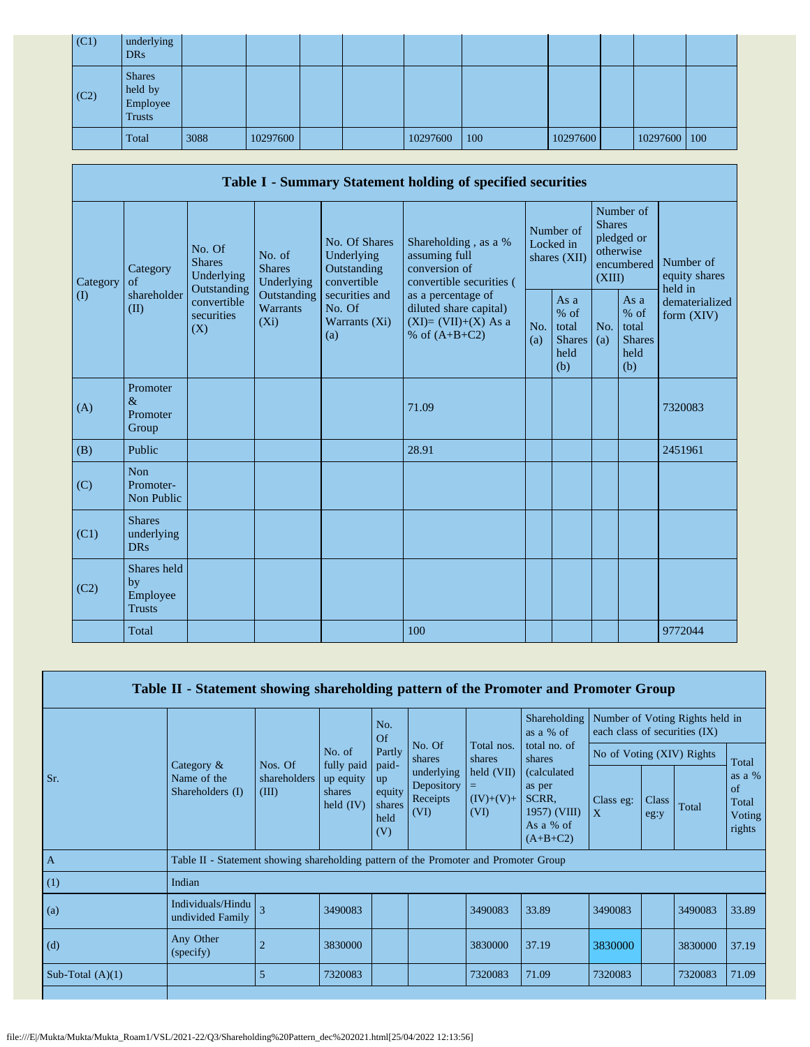| (C1) | underlying<br><b>DRs</b>                              |      |          |  |          |     |          |                |  |
|------|-------------------------------------------------------|------|----------|--|----------|-----|----------|----------------|--|
| (C2) | <b>Shares</b><br>held by<br>Employee<br><b>Trusts</b> |      |          |  |          |     |          |                |  |
|      | Total                                                 | 3088 | 10297600 |  | 10297600 | 100 | 10297600 | 10297600   100 |  |

|                   | Table I - Summary Statement holding of specified securities                                       |                                  |                                                           |                                                                                    |                                                                                            |            |                                                                               |            |                                                         |                                |  |  |  |
|-------------------|---------------------------------------------------------------------------------------------------|----------------------------------|-----------------------------------------------------------|------------------------------------------------------------------------------------|--------------------------------------------------------------------------------------------|------------|-------------------------------------------------------------------------------|------------|---------------------------------------------------------|--------------------------------|--|--|--|
| Category          | No. Of<br>No. of<br><b>Shares</b><br><b>Shares</b><br>Category<br>Underlying<br>of<br>Outstanding | Underlying                       | No. Of Shares<br>Underlying<br>Outstanding<br>convertible | Shareholding, as a %<br>assuming full<br>conversion of<br>convertible securities ( | Number of<br>Locked in<br>shares (XII)                                                     |            | Number of<br><b>Shares</b><br>pledged or<br>otherwise<br>encumbered<br>(XIII) |            | Number of<br>equity shares<br>held in                   |                                |  |  |  |
| $\textcircled{1}$ | shareholder<br>(II)                                                                               | convertible<br>securities<br>(X) | Outstanding<br>Warrants<br>$(X_i)$                        | securities and<br>No. Of<br>Warrants (Xi)<br>(a)                                   | as a percentage of<br>diluted share capital)<br>$(XI) = (VII)+(X)$ As a<br>% of $(A+B+C2)$ | No.<br>(a) | As a<br>$%$ of<br>total<br><b>Shares</b><br>held<br>(b)                       | No.<br>(a) | As a<br>$%$ of<br>total<br><b>Shares</b><br>held<br>(b) | dematerialized<br>form $(XIV)$ |  |  |  |
| (A)               | Promoter<br>$\&$<br>Promoter<br>Group                                                             |                                  |                                                           |                                                                                    | 71.09                                                                                      |            |                                                                               |            |                                                         | 7320083                        |  |  |  |
| (B)               | Public                                                                                            |                                  |                                                           |                                                                                    | 28.91                                                                                      |            |                                                                               |            |                                                         | 2451961                        |  |  |  |
| (C)               | <b>Non</b><br>Promoter-<br>Non Public                                                             |                                  |                                                           |                                                                                    |                                                                                            |            |                                                                               |            |                                                         |                                |  |  |  |
| (C1)              | <b>Shares</b><br>underlying<br><b>DRs</b>                                                         |                                  |                                                           |                                                                                    |                                                                                            |            |                                                                               |            |                                                         |                                |  |  |  |
| (C2)              | Shares held<br>by<br>Employee<br><b>Trusts</b>                                                    |                                  |                                                           |                                                                                    |                                                                                            |            |                                                                               |            |                                                         |                                |  |  |  |
|                   | Total                                                                                             |                                  |                                                           |                                                                                    | 100                                                                                        |            |                                                                               |            |                                                         | 9772044                        |  |  |  |

|                    | Table II - Statement showing shareholding pattern of the Promoter and Promoter Group                 |                         |                                    |                                       |                                              |                                   |                                                                            |                                   |               |         |                                       |  |
|--------------------|------------------------------------------------------------------------------------------------------|-------------------------|------------------------------------|---------------------------------------|----------------------------------------------|-----------------------------------|----------------------------------------------------------------------------|-----------------------------------|---------------|---------|---------------------------------------|--|
|                    | Shareholding<br>Number of Voting Rights held in<br>No.<br>as a % of<br>each class of securities (IX) |                         |                                    |                                       |                                              | Of                                |                                                                            | of<br>Total<br>3490083<br>3830000 |               |         |                                       |  |
|                    | Category $\&$                                                                                        | Nos. Of                 | No. of<br>fully paid               | Partly<br>shares<br>paid-             | No. Of                                       | Total nos.<br>shares              | total no. of<br>shares                                                     | No of Voting (XIV) Rights         |               |         | Total                                 |  |
| Sr.                | Name of the<br>Shareholders (I)                                                                      | shareholders  <br>(III) | up equity<br>shares<br>held $(IV)$ | up<br>equity<br>shares<br>held<br>(V) | underlying<br>Depository<br>Receipts<br>(VI) | held (VII)<br>$(IV)+(V)+$<br>(VI) | (calculated)<br>as per<br>SCRR.<br>1957) (VIII)<br>As a % of<br>$(A+B+C2)$ | Class eg:<br>$\mathbf{X}$         | Class<br>eg:y |         | as a $%$<br>Total<br>Voting<br>rights |  |
| $\overline{A}$     | Table II - Statement showing shareholding pattern of the Promoter and Promoter Group                 |                         |                                    |                                       |                                              |                                   |                                                                            |                                   |               |         |                                       |  |
| (1)                | Indian                                                                                               |                         |                                    |                                       |                                              |                                   |                                                                            |                                   |               |         |                                       |  |
| (a)                | Individuals/Hindu<br>undivided Family                                                                | $\overline{\mathbf{3}}$ | 3490083                            |                                       |                                              | 3490083                           | 33.89                                                                      | 3490083                           |               |         | 33.89                                 |  |
| (d)                | Any Other<br>(specify)                                                                               |                         | 3830000                            |                                       |                                              | 3830000                           | 37.19                                                                      | 3830000                           |               |         | 37.19                                 |  |
| Sub-Total $(A)(1)$ |                                                                                                      | 5                       | 7320083                            |                                       |                                              | 7320083                           | 71.09                                                                      | 7320083                           |               | 7320083 | 71.09                                 |  |
|                    |                                                                                                      |                         |                                    |                                       |                                              |                                   |                                                                            |                                   |               |         |                                       |  |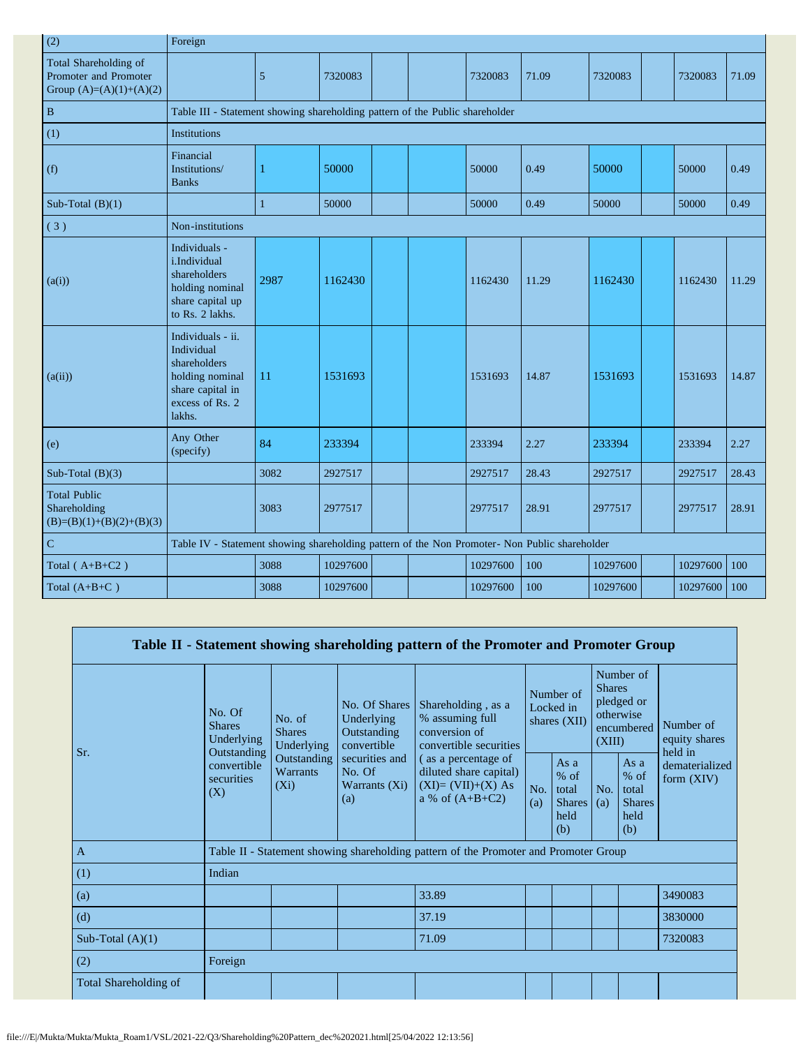| (2)                                                                         | Foreign                                                                                                             |              |          |  |          |       |          |          |       |
|-----------------------------------------------------------------------------|---------------------------------------------------------------------------------------------------------------------|--------------|----------|--|----------|-------|----------|----------|-------|
| Total Shareholding of<br>Promoter and Promoter<br>Group $(A)=(A)(1)+(A)(2)$ |                                                                                                                     | 5            | 7320083  |  | 7320083  | 71.09 | 7320083  | 7320083  | 71.09 |
| $\, {\bf B}$                                                                | Table III - Statement showing shareholding pattern of the Public shareholder                                        |              |          |  |          |       |          |          |       |
| (1)                                                                         | <b>Institutions</b>                                                                                                 |              |          |  |          |       |          |          |       |
| (f)                                                                         | Financial<br>Institutions/<br><b>Banks</b>                                                                          | 1            | 50000    |  | 50000    | 0.49  | 50000    | 50000    | 0.49  |
| Sub-Total $(B)(1)$                                                          |                                                                                                                     | $\mathbf{1}$ | 50000    |  | 50000    | 0.49  | 50000    | 50000    | 0.49  |
| (3)                                                                         | Non-institutions                                                                                                    |              |          |  |          |       |          |          |       |
| (a(i))                                                                      | Individuals -<br>i.Individual<br>shareholders<br>holding nominal<br>share capital up<br>to Rs. 2 lakhs.             | 2987         | 1162430  |  | 1162430  | 11.29 | 1162430  | 1162430  | 11.29 |
| (a(ii))                                                                     | Individuals - ii.<br>Individual<br>shareholders<br>holding nominal<br>share capital in<br>excess of Rs. 2<br>lakhs. | 11           | 1531693  |  | 1531693  | 14.87 | 1531693  | 1531693  | 14.87 |
| (e)                                                                         | Any Other<br>(specify)                                                                                              | 84           | 233394   |  | 233394   | 2.27  | 233394   | 233394   | 2.27  |
| Sub-Total $(B)(3)$                                                          |                                                                                                                     | 3082         | 2927517  |  | 2927517  | 28.43 | 2927517  | 2927517  | 28.43 |
| <b>Total Public</b><br>Shareholding<br>$(B)=(B)(1)+(B)(2)+(B)(3)$           |                                                                                                                     | 3083         | 2977517  |  | 2977517  | 28.91 | 2977517  | 2977517  | 28.91 |
| ${\bf C}$                                                                   | Table IV - Statement showing shareholding pattern of the Non Promoter- Non Public shareholder                       |              |          |  |          |       |          |          |       |
| Total $(A+B+C2)$                                                            |                                                                                                                     | 3088         | 10297600 |  | 10297600 | 100   | 10297600 | 10297600 | 100   |
| Total $(A+B+C)$                                                             |                                                                                                                     | 3088         | 10297600 |  | 10297600 | 100   | 10297600 | 10297600 | 100   |

|                       |                                                                                               |                                    |                                                           | Table II - Statement showing shareholding pattern of the Promoter and Promoter Group      |                                        |                                                           |                                                                               |                                                       |                                       |
|-----------------------|-----------------------------------------------------------------------------------------------|------------------------------------|-----------------------------------------------------------|-------------------------------------------------------------------------------------------|----------------------------------------|-----------------------------------------------------------|-------------------------------------------------------------------------------|-------------------------------------------------------|---------------------------------------|
| Sr.                   | No. Of<br>No. of<br><b>Shares</b><br><b>Shares</b><br>Underlying<br>Underlying<br>Outstanding |                                    | No. Of Shares<br>Underlying<br>Outstanding<br>convertible | Shareholding, as a<br>% assuming full<br>conversion of<br>convertible securities          | Number of<br>Locked in<br>shares (XII) |                                                           | Number of<br><b>Shares</b><br>pledged or<br>otherwise<br>encumbered<br>(XIII) |                                                       | Number of<br>equity shares<br>held in |
|                       | convertible<br>securities<br>(X)                                                              | Outstanding<br>Warrants<br>$(X_i)$ | securities and<br>No. Of<br>Warrants $(X_i)$<br>(a)       | (as a percentage of<br>diluted share capital)<br>$(XI)=(VII)+(X) As$<br>a % of $(A+B+C2)$ | No.<br>(a)                             | As $a$<br>$%$ of<br>total<br><b>Shares</b><br>held<br>(b) | No.<br>(a)                                                                    | As a<br>% of<br>total<br><b>Shares</b><br>held<br>(b) | dematerialized<br>form $(XIV)$        |
| $\mathbf{A}$          |                                                                                               |                                    |                                                           | Table II - Statement showing shareholding pattern of the Promoter and Promoter Group      |                                        |                                                           |                                                                               |                                                       |                                       |
| (1)                   | Indian                                                                                        |                                    |                                                           |                                                                                           |                                        |                                                           |                                                                               |                                                       |                                       |
| (a)                   |                                                                                               |                                    |                                                           | 33.89                                                                                     |                                        |                                                           |                                                                               |                                                       | 3490083                               |
| (d)                   |                                                                                               |                                    |                                                           | 37.19                                                                                     |                                        |                                                           |                                                                               |                                                       | 3830000                               |
| Sub-Total $(A)(1)$    |                                                                                               |                                    |                                                           | 71.09                                                                                     |                                        |                                                           |                                                                               |                                                       | 7320083                               |
| (2)                   | Foreign                                                                                       |                                    |                                                           |                                                                                           |                                        |                                                           |                                                                               |                                                       |                                       |
| Total Shareholding of |                                                                                               |                                    |                                                           |                                                                                           |                                        |                                                           |                                                                               |                                                       |                                       |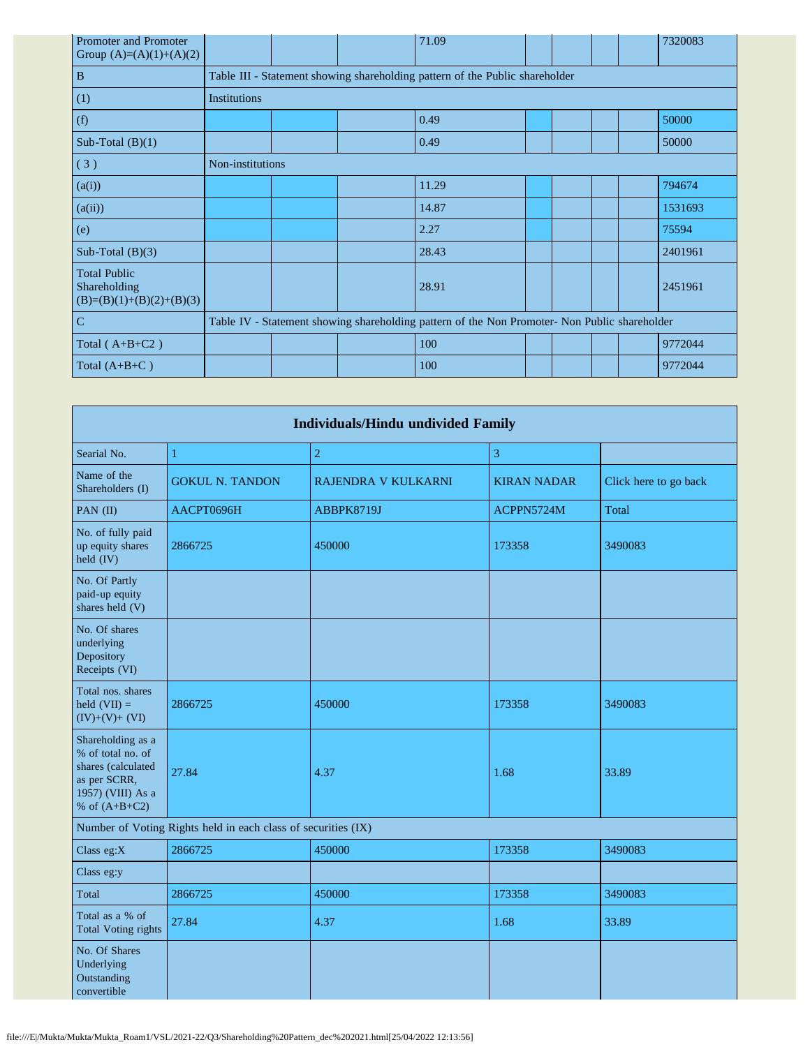| Promoter and Promoter<br>Group $(A)=(A)(1)+(A)(2)$                |                     |  | 71.09                                                                                         |  |  | 7320083 |
|-------------------------------------------------------------------|---------------------|--|-----------------------------------------------------------------------------------------------|--|--|---------|
| $\, {\bf B}$                                                      |                     |  | Table III - Statement showing shareholding pattern of the Public shareholder                  |  |  |         |
| (1)                                                               | <b>Institutions</b> |  |                                                                                               |  |  |         |
| (f)                                                               |                     |  | 0.49                                                                                          |  |  | 50000   |
| Sub-Total $(B)(1)$                                                |                     |  | 0.49                                                                                          |  |  | 50000   |
| (3)                                                               | Non-institutions    |  |                                                                                               |  |  |         |
| (a(i))                                                            |                     |  | 11.29                                                                                         |  |  | 794674  |
| (a(ii))                                                           |                     |  | 14.87                                                                                         |  |  | 1531693 |
| (e)                                                               |                     |  | 2.27                                                                                          |  |  | 75594   |
| Sub-Total $(B)(3)$                                                |                     |  | 28.43                                                                                         |  |  | 2401961 |
| <b>Total Public</b><br>Shareholding<br>$(B)=(B)(1)+(B)(2)+(B)(3)$ |                     |  | 28.91                                                                                         |  |  | 2451961 |
| $\mathbf C$                                                       |                     |  | Table IV - Statement showing shareholding pattern of the Non Promoter- Non Public shareholder |  |  |         |
| Total $(A+B+C2)$                                                  |                     |  | 100                                                                                           |  |  | 9772044 |
| Total $(A+B+C)$                                                   |                     |  | 100                                                                                           |  |  | 9772044 |

| <b>Individuals/Hindu undivided Family</b>                                                                            |                                                               |                     |                    |                       |  |  |  |  |  |  |
|----------------------------------------------------------------------------------------------------------------------|---------------------------------------------------------------|---------------------|--------------------|-----------------------|--|--|--|--|--|--|
| Searial No.                                                                                                          | 1                                                             | $\sqrt{2}$          | 3                  |                       |  |  |  |  |  |  |
| Name of the<br>Shareholders (I)                                                                                      | <b>GOKUL N. TANDON</b>                                        | RAJENDRA V KULKARNI | <b>KIRAN NADAR</b> | Click here to go back |  |  |  |  |  |  |
| PAN (II)                                                                                                             | AACPT0696H                                                    | ABBPK8719J          | ACPPN5724M         | Total                 |  |  |  |  |  |  |
| No. of fully paid<br>up equity shares<br>held (IV)                                                                   | 2866725                                                       | 450000              | 173358             | 3490083               |  |  |  |  |  |  |
| No. Of Partly<br>paid-up equity<br>shares held (V)                                                                   |                                                               |                     |                    |                       |  |  |  |  |  |  |
| No. Of shares<br>underlying<br>Depository<br>Receipts (VI)                                                           |                                                               |                     |                    |                       |  |  |  |  |  |  |
| Total nos. shares<br>held $(VII) =$<br>$(IV)+(V)+(VI)$                                                               | 2866725                                                       | 450000              | 173358             | 3490083               |  |  |  |  |  |  |
| Shareholding as a<br>% of total no. of<br>shares (calculated<br>as per SCRR,<br>1957) (VIII) As a<br>% of $(A+B+C2)$ | 27.84                                                         | 4.37                | 1.68               | 33.89                 |  |  |  |  |  |  |
|                                                                                                                      | Number of Voting Rights held in each class of securities (IX) |                     |                    |                       |  |  |  |  |  |  |
| Class eg:X                                                                                                           | 2866725                                                       | 450000              | 173358             | 3490083               |  |  |  |  |  |  |
| Class eg:y                                                                                                           |                                                               |                     |                    |                       |  |  |  |  |  |  |
| Total                                                                                                                | 2866725                                                       | 450000              | 173358             | 3490083               |  |  |  |  |  |  |
| Total as a % of<br><b>Total Voting rights</b>                                                                        | 27.84                                                         | 4.37                | 1.68               | 33.89                 |  |  |  |  |  |  |
| No. Of Shares<br>Underlying<br>Outstanding<br>convertible                                                            |                                                               |                     |                    |                       |  |  |  |  |  |  |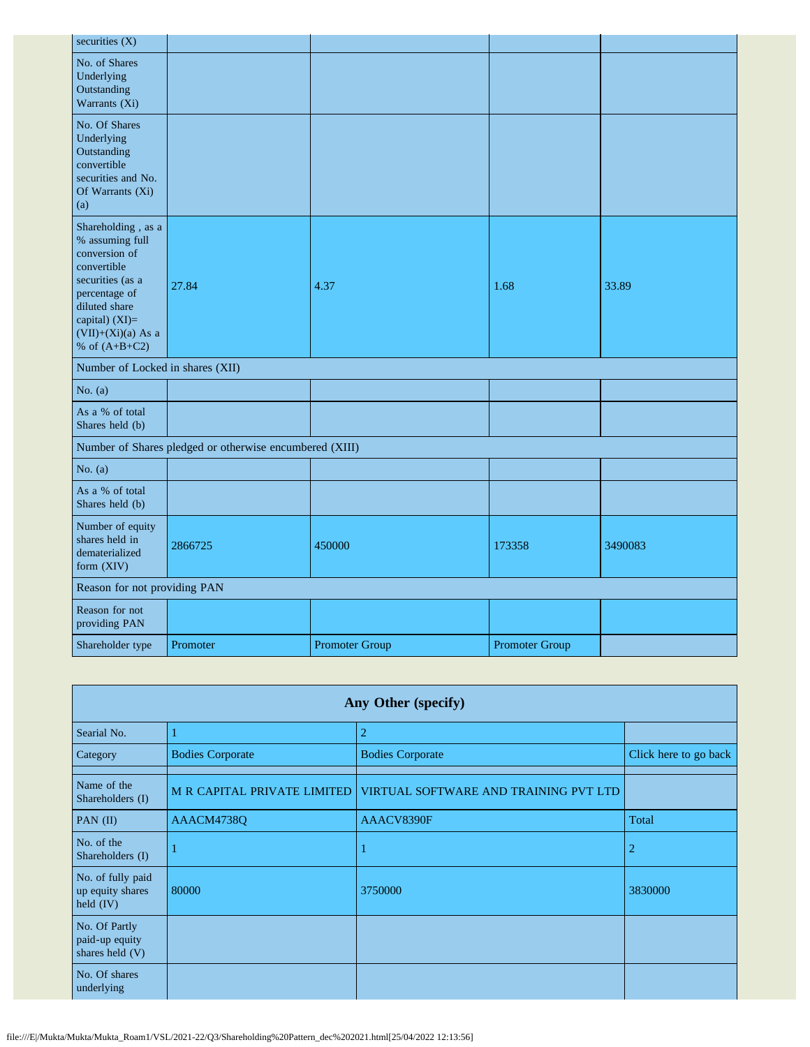| securities $(X)$                                                                                                                                                                         |                                                         |                       |                       |         |
|------------------------------------------------------------------------------------------------------------------------------------------------------------------------------------------|---------------------------------------------------------|-----------------------|-----------------------|---------|
| No. of Shares<br>Underlying<br>Outstanding<br>Warrants (Xi)                                                                                                                              |                                                         |                       |                       |         |
| No. Of Shares<br>Underlying<br>Outstanding<br>convertible<br>securities and No.<br>Of Warrants (Xi)<br>(a)                                                                               |                                                         |                       |                       |         |
| Shareholding, as a<br>% assuming full<br>conversion of<br>convertible<br>securities (as a<br>percentage of<br>diluted share<br>capital) (XI)=<br>$(VII)+(Xi)(a)$ As a<br>% of $(A+B+C2)$ | 27.84                                                   | 4.37                  | 1.68                  | 33.89   |
| Number of Locked in shares (XII)                                                                                                                                                         |                                                         |                       |                       |         |
| No. $(a)$                                                                                                                                                                                |                                                         |                       |                       |         |
| As a % of total<br>Shares held (b)                                                                                                                                                       |                                                         |                       |                       |         |
|                                                                                                                                                                                          | Number of Shares pledged or otherwise encumbered (XIII) |                       |                       |         |
| No. $(a)$                                                                                                                                                                                |                                                         |                       |                       |         |
| As a % of total<br>Shares held (b)                                                                                                                                                       |                                                         |                       |                       |         |
| Number of equity<br>shares held in<br>dematerialized<br>form (XIV)                                                                                                                       | 2866725                                                 | 450000                | 173358                | 3490083 |
| Reason for not providing PAN                                                                                                                                                             |                                                         |                       |                       |         |
| Reason for not<br>providing PAN                                                                                                                                                          |                                                         |                       |                       |         |
| Shareholder type                                                                                                                                                                         | Promoter                                                | <b>Promoter Group</b> | <b>Promoter Group</b> |         |

| Any Other (specify)                                  |                         |                                                                   |                       |  |  |  |  |  |  |  |
|------------------------------------------------------|-------------------------|-------------------------------------------------------------------|-----------------------|--|--|--|--|--|--|--|
| Searial No.                                          |                         | $\overline{2}$                                                    |                       |  |  |  |  |  |  |  |
| Category                                             | <b>Bodies Corporate</b> | <b>Bodies Corporate</b>                                           | Click here to go back |  |  |  |  |  |  |  |
| Name of the<br>Shareholders (I)                      |                         | M R CAPITAL PRIVATE LIMITED VIRTUAL SOFTWARE AND TRAINING PVT LTD |                       |  |  |  |  |  |  |  |
| PAN $(II)$                                           | AAACM4738Q              | AAACV8390F                                                        | Total                 |  |  |  |  |  |  |  |
| No. of the<br>Shareholders (I)                       |                         |                                                                   | 2                     |  |  |  |  |  |  |  |
| No. of fully paid<br>up equity shares<br>held $(IV)$ | 80000                   | 3750000                                                           | 3830000               |  |  |  |  |  |  |  |
| No. Of Partly<br>paid-up equity<br>shares held (V)   |                         |                                                                   |                       |  |  |  |  |  |  |  |
| No. Of shares<br>underlying                          |                         |                                                                   |                       |  |  |  |  |  |  |  |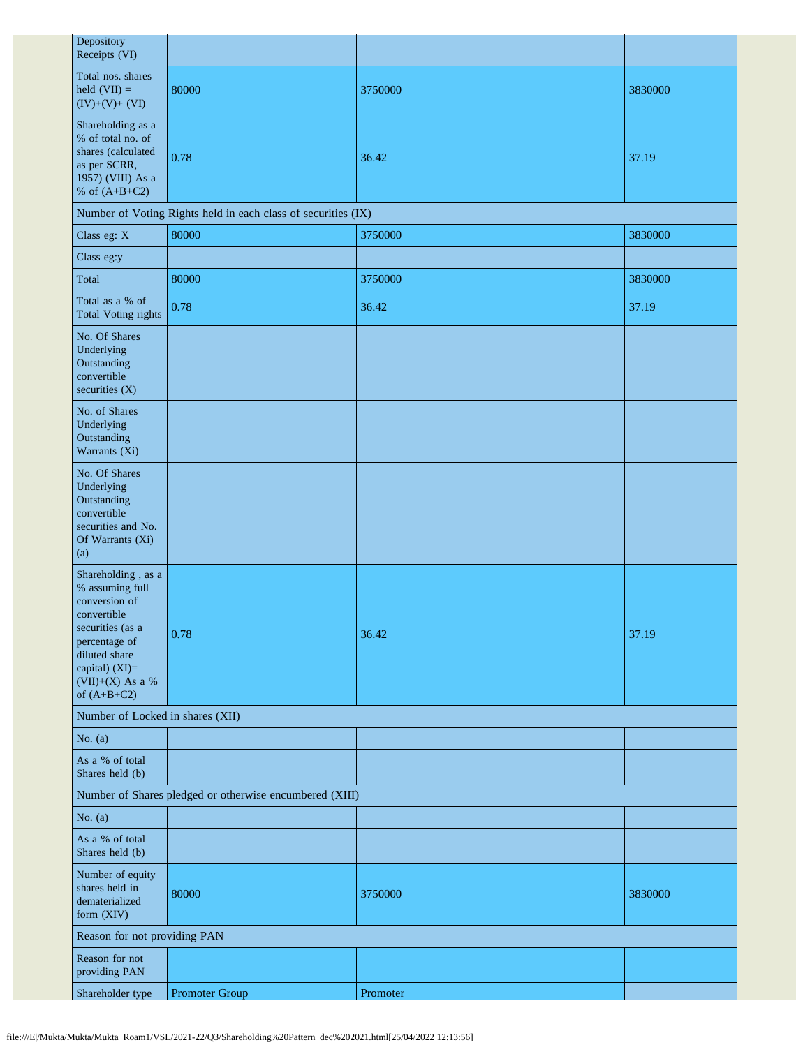| Depository<br>Receipts (VI)                                                                                                                                                          |                                                               |          |         |  |  |
|--------------------------------------------------------------------------------------------------------------------------------------------------------------------------------------|---------------------------------------------------------------|----------|---------|--|--|
| Total nos. shares<br>held $(VII) =$<br>$(IV)+(V)+(VI)$                                                                                                                               | 80000                                                         | 3750000  | 3830000 |  |  |
| Shareholding as a<br>% of total no. of<br>shares (calculated<br>as per SCRR,<br>1957) (VIII) As a<br>% of $(A+B+C2)$                                                                 | 0.78                                                          | 36.42    | 37.19   |  |  |
|                                                                                                                                                                                      | Number of Voting Rights held in each class of securities (IX) |          |         |  |  |
| Class eg: X                                                                                                                                                                          | 80000                                                         | 3750000  | 3830000 |  |  |
| Class eg:y                                                                                                                                                                           |                                                               |          |         |  |  |
| Total                                                                                                                                                                                | 80000                                                         | 3750000  | 3830000 |  |  |
| Total as a % of<br><b>Total Voting rights</b>                                                                                                                                        | 0.78                                                          | 36.42    | 37.19   |  |  |
| No. Of Shares<br>Underlying<br>Outstanding<br>convertible<br>securities (X)                                                                                                          |                                                               |          |         |  |  |
| No. of Shares<br>Underlying<br>Outstanding<br>Warrants (Xi)                                                                                                                          |                                                               |          |         |  |  |
| No. Of Shares<br>Underlying<br>Outstanding<br>convertible<br>securities and No.<br>Of Warrants (Xi)<br>(a)                                                                           |                                                               |          |         |  |  |
| Shareholding, as a<br>% assuming full<br>conversion of<br>convertible<br>securities (as a<br>percentage of<br>diluted share<br>capital) (XI)=<br>$(VII)+(X)$ As a %<br>of $(A+B+C2)$ | 0.78                                                          | 36.42    | 37.19   |  |  |
| Number of Locked in shares (XII)                                                                                                                                                     |                                                               |          |         |  |  |
| No. $(a)$                                                                                                                                                                            |                                                               |          |         |  |  |
| As a % of total<br>Shares held (b)                                                                                                                                                   |                                                               |          |         |  |  |
| Number of Shares pledged or otherwise encumbered (XIII)                                                                                                                              |                                                               |          |         |  |  |
| No. $(a)$                                                                                                                                                                            |                                                               |          |         |  |  |
| As a % of total<br>Shares held (b)                                                                                                                                                   |                                                               |          |         |  |  |
| Number of equity<br>shares held in<br>dematerialized<br>form (XIV)                                                                                                                   | 80000                                                         | 3750000  | 3830000 |  |  |
| Reason for not providing PAN                                                                                                                                                         |                                                               |          |         |  |  |
| Reason for not<br>providing PAN                                                                                                                                                      |                                                               |          |         |  |  |
| Shareholder type                                                                                                                                                                     | Promoter Group                                                | Promoter |         |  |  |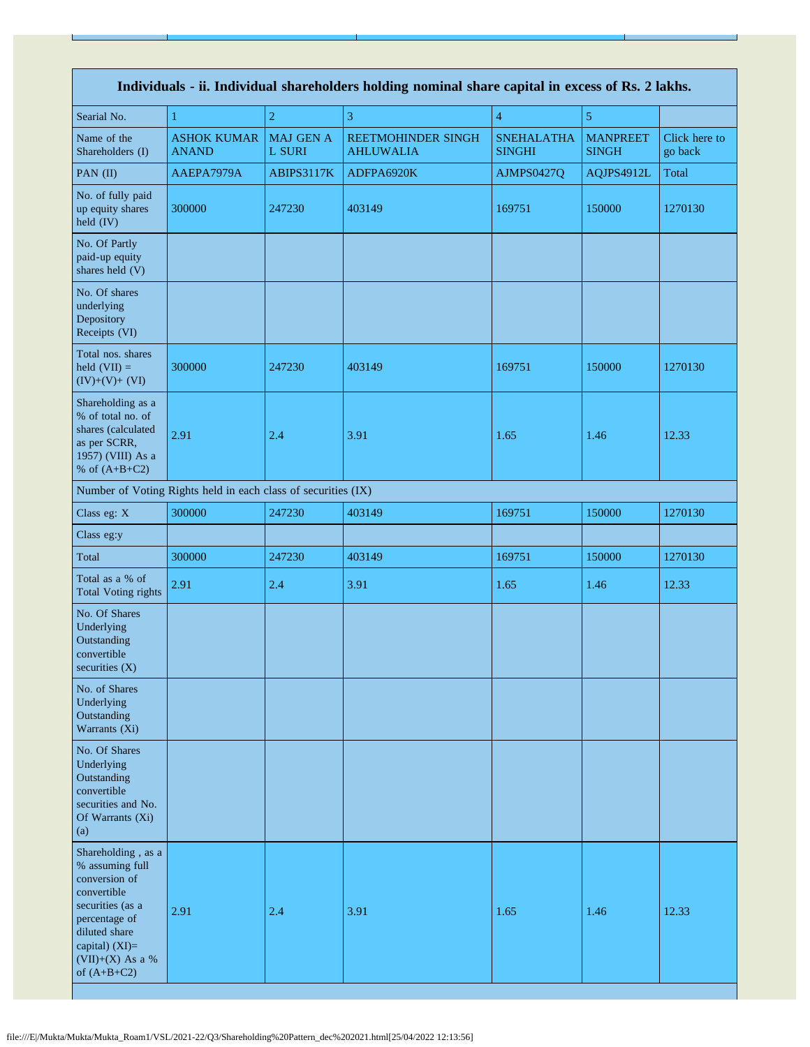| Individuals - ii. Individual shareholders holding nominal share capital in excess of Rs. 2 lakhs.                                                                                      |                                                               |                            |                                        |                                    |                                 |                          |
|----------------------------------------------------------------------------------------------------------------------------------------------------------------------------------------|---------------------------------------------------------------|----------------------------|----------------------------------------|------------------------------------|---------------------------------|--------------------------|
| Searial No.                                                                                                                                                                            | 1                                                             | $\overline{2}$             | 3                                      | $\overline{4}$                     | 5                               |                          |
| Name of the<br>Shareholders (I)                                                                                                                                                        | <b>ASHOK KUMAR</b><br><b>ANAND</b>                            | <b>MAJ GEN A</b><br>L SURI | REETMOHINDER SINGH<br><b>AHLUWALIA</b> | <b>SNEHALATHA</b><br><b>SINGHI</b> | <b>MANPREET</b><br><b>SINGH</b> | Click here to<br>go back |
| PAN $(II)$                                                                                                                                                                             | AAEPA7979A                                                    | ABIPS3117K                 | ADFPA6920K                             | AJMPS0427Q                         | AQJPS4912L                      | Total                    |
| No. of fully paid<br>up equity shares<br>held (IV)                                                                                                                                     | 300000                                                        | 247230                     | 403149                                 | 169751                             | 150000                          | 1270130                  |
| No. Of Partly<br>paid-up equity<br>shares held (V)                                                                                                                                     |                                                               |                            |                                        |                                    |                                 |                          |
| No. Of shares<br>underlying<br>Depository<br>Receipts (VI)                                                                                                                             |                                                               |                            |                                        |                                    |                                 |                          |
| Total nos. shares<br>held $(VII) =$<br>$(IV)+(V)+(VI)$                                                                                                                                 | 300000                                                        | 247230                     | 403149                                 | 169751                             | 150000                          | 1270130                  |
| Shareholding as a<br>% of total no. of<br>shares (calculated<br>as per SCRR,<br>1957) (VIII) As a<br>% of $(A+B+C2)$                                                                   | 2.91                                                          | 2.4                        | 3.91                                   | 1.65                               | 1.46                            | 12.33                    |
|                                                                                                                                                                                        | Number of Voting Rights held in each class of securities (IX) |                            |                                        |                                    |                                 |                          |
| Class eg: X                                                                                                                                                                            | 300000                                                        | 247230                     | 403149                                 | 169751                             | 150000                          | 1270130                  |
| Class eg:y                                                                                                                                                                             |                                                               |                            |                                        |                                    |                                 |                          |
| Total                                                                                                                                                                                  | 300000                                                        | 247230                     | 403149                                 | 169751                             | 150000                          | 1270130                  |
| Total as a % of<br><b>Total Voting rights</b>                                                                                                                                          | 2.91                                                          | 2.4                        | 3.91                                   | 1.65                               | 1.46                            | 12.33                    |
| No. Of Shares<br>Underlying<br>Outstanding<br>convertible<br>securities (X)                                                                                                            |                                                               |                            |                                        |                                    |                                 |                          |
| No. of Shares<br>Underlying<br>Outstanding<br>Warrants (Xi)                                                                                                                            |                                                               |                            |                                        |                                    |                                 |                          |
| No. Of Shares<br>Underlying<br>Outstanding<br>convertible<br>securities and No.<br>Of Warrants (Xi)<br>(a)                                                                             |                                                               |                            |                                        |                                    |                                 |                          |
| Shareholding, as a<br>% assuming full<br>conversion of<br>convertible<br>securities (as a<br>percentage of<br>diluted share<br>capital) $(XI)=$<br>$(VII)+(X)$ As a %<br>of $(A+B+C2)$ | 2.91                                                          | 2.4                        | 3.91                                   | 1.65                               | 1.46                            | 12.33                    |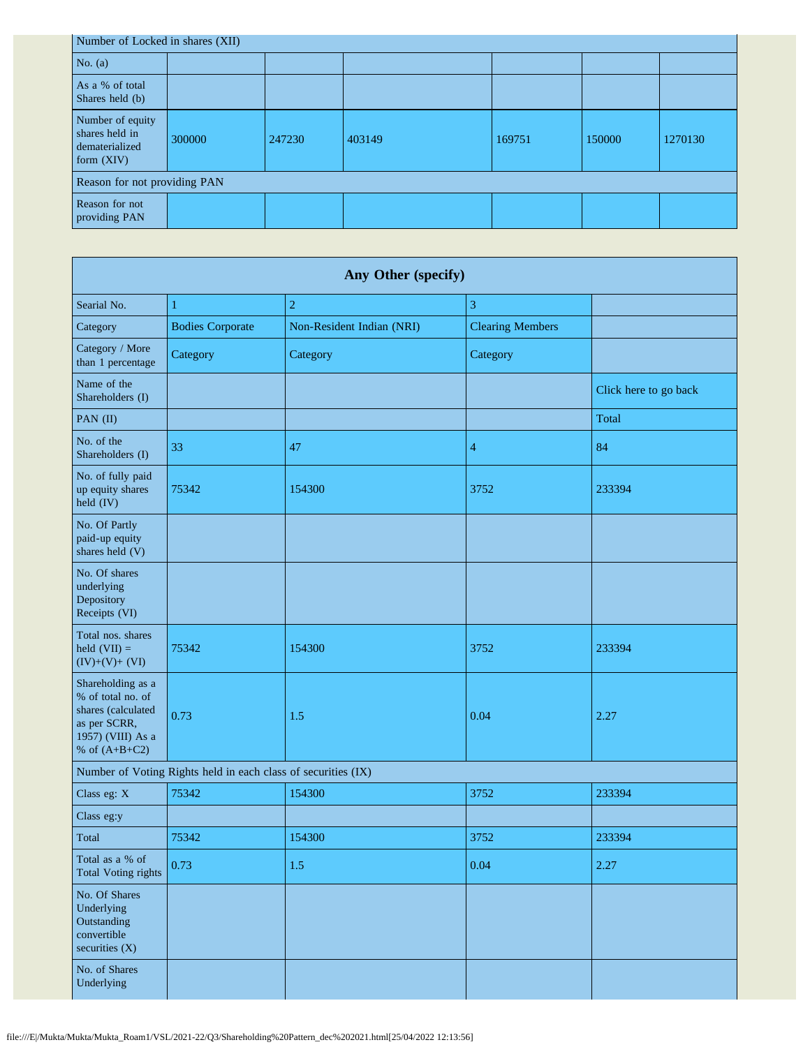| Number of Locked in shares (XII)                                     |        |        |        |        |        |         |  |
|----------------------------------------------------------------------|--------|--------|--------|--------|--------|---------|--|
| No. $(a)$                                                            |        |        |        |        |        |         |  |
| As a % of total<br>Shares held (b)                                   |        |        |        |        |        |         |  |
| Number of equity<br>shares held in<br>dematerialized<br>form $(XIV)$ | 300000 | 247230 | 403149 | 169751 | 150000 | 1270130 |  |
| Reason for not providing PAN                                         |        |        |        |        |        |         |  |
| Reason for not<br>providing PAN                                      |        |        |        |        |        |         |  |

| Any Other (specify)                                                                                                  |                                                               |                           |                         |                       |  |  |
|----------------------------------------------------------------------------------------------------------------------|---------------------------------------------------------------|---------------------------|-------------------------|-----------------------|--|--|
| Searial No.                                                                                                          | 1                                                             | $\overline{c}$            | 3                       |                       |  |  |
| Category                                                                                                             | <b>Bodies Corporate</b>                                       | Non-Resident Indian (NRI) | <b>Clearing Members</b> |                       |  |  |
| Category / More<br>than 1 percentage                                                                                 | Category                                                      | Category                  | Category                |                       |  |  |
| Name of the<br>Shareholders (I)                                                                                      |                                                               |                           |                         | Click here to go back |  |  |
| PAN (II)                                                                                                             |                                                               |                           |                         | Total                 |  |  |
| No. of the<br>Shareholders (I)                                                                                       | 33                                                            | 47                        | $\overline{4}$          | 84                    |  |  |
| No. of fully paid<br>up equity shares<br>held (IV)                                                                   | 75342                                                         | 154300                    | 3752                    | 233394                |  |  |
| No. Of Partly<br>paid-up equity<br>shares held (V)                                                                   |                                                               |                           |                         |                       |  |  |
| No. Of shares<br>underlying<br>Depository<br>Receipts (VI)                                                           |                                                               |                           |                         |                       |  |  |
| Total nos. shares<br>held $(VII) =$<br>$(IV)+(V)+(VI)$                                                               | 75342                                                         | 154300                    | 3752                    | 233394                |  |  |
| Shareholding as a<br>% of total no. of<br>shares (calculated<br>as per SCRR,<br>1957) (VIII) As a<br>% of $(A+B+C2)$ | 0.73                                                          | 1.5                       | 0.04                    | 2.27                  |  |  |
|                                                                                                                      | Number of Voting Rights held in each class of securities (IX) |                           |                         |                       |  |  |
| Class eg: X                                                                                                          | 75342                                                         | 154300                    | 3752                    | 233394                |  |  |
| Class eg:y                                                                                                           |                                                               |                           |                         |                       |  |  |
| Total                                                                                                                | 75342                                                         | 154300                    | 3752                    | 233394                |  |  |
| Total as a % of<br><b>Total Voting rights</b>                                                                        | 0.73                                                          | 1.5                       | 0.04                    | 2.27                  |  |  |
| No. Of Shares<br>Underlying<br>Outstanding<br>convertible<br>securities $(X)$                                        |                                                               |                           |                         |                       |  |  |
| No. of Shares<br>Underlying                                                                                          |                                                               |                           |                         |                       |  |  |